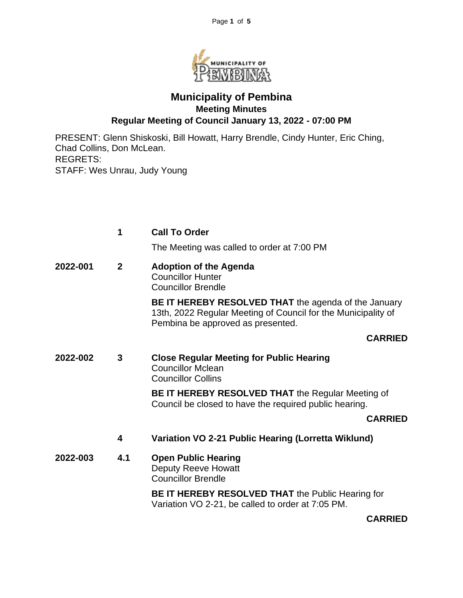

# **Municipality of Pembina Meeting Minutes Regular Meeting of Council January 13, 2022 - 07:00 PM**

PRESENT: Glenn Shiskoski, Bill Howatt, Harry Brendle, Cindy Hunter, Eric Ching, Chad Collins, Don McLean. REGRETS: STAFF: Wes Unrau, Judy Young

|          | 1            | <b>Call To Order</b>                                                                                                                                       |
|----------|--------------|------------------------------------------------------------------------------------------------------------------------------------------------------------|
|          |              | The Meeting was called to order at 7:00 PM                                                                                                                 |
| 2022-001 | $\mathbf{2}$ | <b>Adoption of the Agenda</b><br><b>Councillor Hunter</b><br><b>Councillor Brendle</b>                                                                     |
|          |              | BE IT HEREBY RESOLVED THAT the agenda of the January<br>13th, 2022 Regular Meeting of Council for the Municipality of<br>Pembina be approved as presented. |
|          |              | <b>CARRIED</b>                                                                                                                                             |
| 2022-002 | 3            | <b>Close Regular Meeting for Public Hearing</b><br><b>Councillor Mclean</b><br><b>Councillor Collins</b>                                                   |
|          |              | <b>BE IT HEREBY RESOLVED THAT the Regular Meeting of</b><br>Council be closed to have the required public hearing.                                         |
|          |              | <b>CARRIED</b>                                                                                                                                             |
|          | 4            | Variation VO 2-21 Public Hearing (Lorretta Wiklund)                                                                                                        |
| 2022-003 | 4.1          | <b>Open Public Hearing</b><br><b>Deputy Reeve Howatt</b><br><b>Councillor Brendle</b>                                                                      |
|          |              | <b>BE IT HEREBY RESOLVED THAT the Public Hearing for</b><br>Variation VO 2-21, be called to order at 7:05 PM.                                              |

**CARRIED**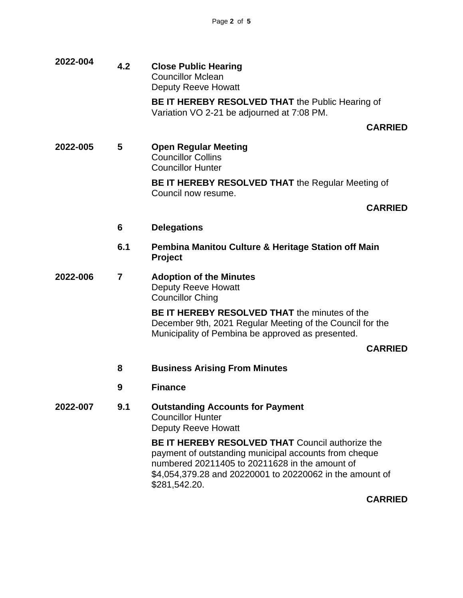**2022-004 4.2 Close Public Hearing** Councillor Mclean Deputy Reeve Howatt **BE IT HEREBY RESOLVED THAT** the Public Hearing of Variation VO 2-21 be adjourned at 7:08 PM. **CARRIED 2022-005 5 Open Regular Meeting** Councillor Collins Councillor Hunter **BE IT HEREBY RESOLVED THAT** the Regular Meeting of Council now resume. **CARRIED 6 Delegations 6.1 Pembina Manitou Culture & Heritage Station off Main Project 2022-006 7 Adoption of the Minutes** Deputy Reeve Howatt Councillor Ching **BE IT HEREBY RESOLVED THAT** the minutes of the December 9th, 2021 Regular Meeting of the Council for the Municipality of Pembina be approved as presented. **CARRIED 8 Business Arising From Minutes 9 Finance 2022-007 9.1 Outstanding Accounts for Payment** Councillor Hunter Deputy Reeve Howatt **BE IT HEREBY RESOLVED THAT** Council authorize the payment of outstanding municipal accounts from cheque numbered 20211405 to 20211628 in the amount of \$4,054,379.28 and 20220001 to 20220062 in the amount of \$281,542.20.

**CARRIED**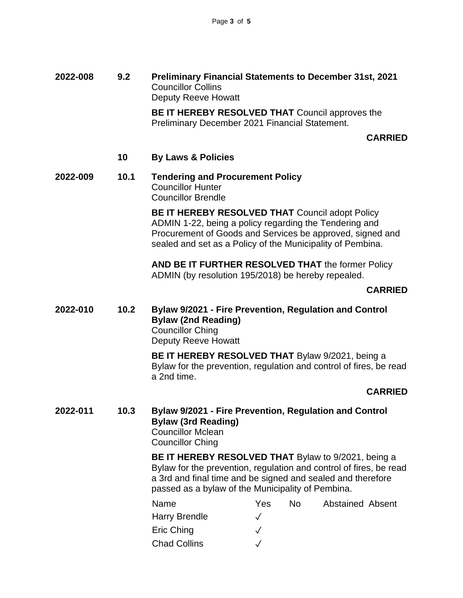**2022-008 9.2 Preliminary Financial Statements to December 31st, 2021** Councillor Collins Deputy Reeve Howatt

> **BE IT HEREBY RESOLVED THAT** Council approves the Preliminary December 2021 Financial Statement.

#### **CARRIED**

- **10 By Laws & Policies**
- **2022-009 10.1 Tendering and Procurement Policy** Councillor Hunter Councillor Brendle

**BE IT HEREBY RESOLVED THAT Council adopt Policy** ADMIN 1-22, being a policy regarding the Tendering and Procurement of Goods and Services be approved, signed and sealed and set as a Policy of the Municipality of Pembina.

**AND BE IT FURTHER RESOLVED THAT** the former Policy ADMIN (by resolution 195/2018) be hereby repealed.

#### **CARRIED**

**2022-010 10.2 Bylaw 9/2021 - Fire Prevention, Regulation and Control Bylaw (2nd Reading)** Councillor Ching Deputy Reeve Howatt

> **BE IT HEREBY RESOLVED THAT** Bylaw 9/2021, being a Bylaw for the prevention, regulation and control of fires, be read a 2nd time.

#### **CARRIED**

**2022-011 10.3 Bylaw 9/2021 - Fire Prevention, Regulation and Control Bylaw (3rd Reading)** Councillor Mclean Councillor Ching

> **BE IT HEREBY RESOLVED THAT** Bylaw to 9/2021, being a Bylaw for the prevention, regulation and control of fires, be read a 3rd and final time and be signed and sealed and therefore passed as a bylaw of the Municipality of Pembina.

| Name                 | Yes | N٥ | <b>Abstained Absent</b> |  |
|----------------------|-----|----|-------------------------|--|
| <b>Harry Brendle</b> |     |    |                         |  |
| Eric Ching           |     |    |                         |  |
| <b>Chad Collins</b>  |     |    |                         |  |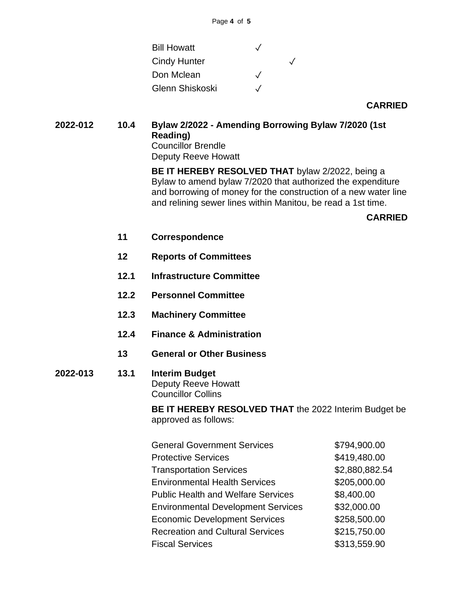| $\sqrt{}$ |  |
|-----------|--|
| $\cdot$   |  |
|           |  |

**CARRIED**

**2022-012 10.4 Bylaw 2/2022 - Amending Borrowing Bylaw 7/2020 (1st Reading)** Councillor Brendle Deputy Reeve Howatt

> **BE IT HEREBY RESOLVED THAT** bylaw 2/2022, being a Bylaw to amend bylaw 7/2020 that authorized the expenditure and borrowing of money for the construction of a new water line and relining sewer lines within Manitou, be read a 1st time.

## **CARRIED**

- **11 Correspondence**
- **12 Reports of Committees**
- **12.1 Infrastructure Committee**
- **12.2 Personnel Committee**
- **12.3 Machinery Committee**
- **12.4 Finance & Administration**
- **13 General or Other Business**
- **2022-013 13.1 Interim Budget** Deputy Reeve Howatt Councillor Collins

**BE IT HEREBY RESOLVED THAT** the 2022 Interim Budget be approved as follows:

| <b>General Government Services</b>        | \$794,900.00   |
|-------------------------------------------|----------------|
| <b>Protective Services</b>                | \$419,480.00   |
| <b>Transportation Services</b>            | \$2,880,882.54 |
| <b>Environmental Health Services</b>      | \$205,000.00   |
| <b>Public Health and Welfare Services</b> | \$8,400.00     |
| <b>Environmental Development Services</b> | \$32,000.00    |
| <b>Economic Development Services</b>      | \$258,500.00   |
| <b>Recreation and Cultural Services</b>   | \$215,750.00   |
| <b>Fiscal Services</b>                    | \$313,559.90   |
|                                           |                |